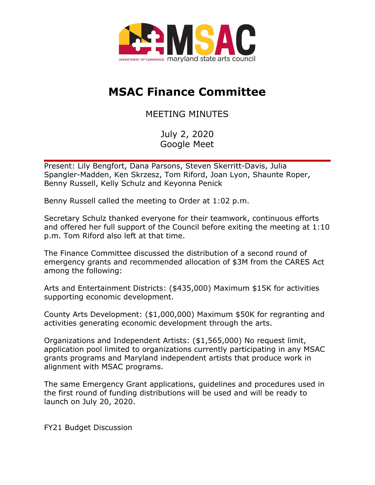

## **MSAC Finance Committee**

MEETING MINUTES

July 2, 2020 Google Meet

Present: Lily Bengfort, Dana Parsons, Steven Skerritt-Davis, Julia Spangler-Madden, Ken Skrzesz, Tom Riford, Joan Lyon, Shaunte Roper, Benny Russell, Kelly Schulz and Keyonna Penick

Benny Russell called the meeting to Order at 1:02 p.m.

Secretary Schulz thanked everyone for their teamwork, continuous efforts and offered her full support of the Council before exiting the meeting at 1:10 p.m. Tom Riford also left at that time.

The Finance Committee discussed the distribution of a second round of emergency grants and recommended allocation of \$3M from the CARES Act among the following:

Arts and Entertainment Districts: (\$435,000) Maximum \$15K for activities supporting economic development.

County Arts Development: (\$1,000,000) Maximum \$50K for regranting and activities generating economic development through the arts.

Organizations and Independent Artists: (\$1,565,000) No request limit, application pool limited to organizations currently participating in any MSAC grants programs and Maryland independent artists that produce work in alignment with MSAC programs.

The same Emergency Grant applications, guidelines and procedures used in the first round of funding distributions will be used and will be ready to launch on July 20, 2020.

FY21 Budget Discussion